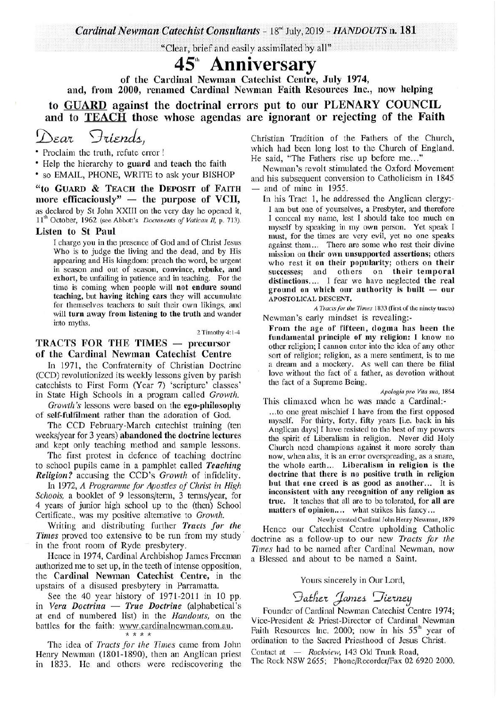$Cardinal Newman$  *Catechist Consultants - 18<sup>nd</sup> July, 2019 - <i>HANDOUTS* n. 181

"Clear, brief and easily assimilated by ail"

# 45'h **Anniversary**

of the Cardinal Newman Catechist Centre, July 1974, and, from 2000, renamed Cardinal Newman Faith Resources Inc., now helping to GUARD against the doctrinal errors put to our PLENARY COUNCIL and to TEACH those whose agendas are ignorant or rejecting of the Faith

# *(]:)Ea'l 'J1ii£nd1-,*

• Proclaim the truth, refute error !

• Help the hierarchy to guard and teach the faith

• so EMAIL, PHONE, WRITE to ask your BISHOP

"to GUARD & TEACH the DEPOSIT of FAITH<br>more efficaciously" — the purpose of VCII, as declared by St John XXIII on the very day he opened it, 11<sup>th</sup> October, 1962 (see Abbott's *Documents of Vatican II, p.* 713).

#### Listen to St Paul

I charge you in the presence of God and of Christ Jesus Who is to judge the living and the dead, and by His appearing and His kingdom: preach the word, be urgent in season and out of season, convince, rebuke, and exhort, be unfailing in patience and in teaching. For the time is coming when people will not endure sound teaching, but having itching ears they will accumulate for themselves teachers to suit their own likings, and will turn away from listening to the truth and wander into myths.

2 Timothy 4:1-4

### TRACTS FOR THE TIMES  $-$  precursor of the Cardinal Newman Catechist Centre

In 1971, the Confraternity of Christian Doctrine (CCD) revolutionized its weekly lessons given by parish catechists to First Form (Year 7) 'scripture' classes' in State High Schools in a program called *Growth.* 

*Growth's* lessons were based on the ego-philosophy of self-fulfilment rather than the adoration of God.

The CCD February-March catechist training (ten weeks/year for 3 years) abandoned the doctrine lectures and kept only teaching method and sample lessons.

The first protest in defence of teaching doctrine to school pupils came in a pamphlet called *Teaching Religion?* accusing the CCD's *Growth* of infidelity.

In 1972, *A Programme for Apostles of Christ in High Schools,* a booklet of 9 lessons/term, 3 terms/year, for 4 years of junior high school up to the (then) School Certificate., was my positive alternative to *Growth.* 

Writing and distributing further *Tracts for the Times* proved too extensive to be run from my study in the front room of Ryde presbytery.

Hence in 1974, Cardinal Archbishop James Freeman authorized me to set up, in the teeth of intense opposition, the Cardinal Newman Catechist Centre, in the upstairs of a disused presbytery in Parramatta.

upstairs of a disused presbytery in Parramatia.<br>See the 40 year history of 1971-2011 in 10 pp.<br>in *Vera Doctrina - True Doctrine* (alphabetical's in *Vera Doctrina* — *True Doctrine* (alphabetical's at end of numbered list) in the *Handouts*, on the battles for the faith: www.cardinalnewman.com.au. \* \* \* \*

The idea of *Tracts for the Times* came from John Henry Newman (1801-1890), then an Anglican priest in 1833. He and others were rediscovering the Christian Tradition of the Fathers of the Church, which had been long lost to the Church of England. He said, "The Fathers rise up before me..."

Newman's revolt stimulated the Oxford Movement and his subsequent conversion to Catholicism in 1845<br>
— and of mine in 1955.

In his Tract 1, he addressed the Anglican clergy:- I am but one of yourselves, a Presbyter, and therefore I conceal my name, lest I should take too much on myself by speaking in my own person. Yet speak I must, for the times are very evil, yet no one speaks against them. .. There are some who rest their divine mission on their own unsupported assertions; others who rest it on their popularity; others on their successes; and others on their temporal distinctions.... I fear we have neglected the real ground on which our authority is built  $-$  our APOSTOLICAL DESCENT.

*A Tracts for the Times* 1833 (first of the ninety tracts) Newman's early mindset is revealing:-

From the age of fifteen, dogma has been the fundamental principle of my religion: I know no other religion; I cannon enter into the idea of any other sort of religion; religion, as a mere sentiment, is to me a dream and a mockery. As well can there be filial love without the fact of a father, as devotion without the fact of a Supreme Being.

*Apologia pro Vita sua,* 1864 This climaxed when he was made a Cardinal:-

... to one great mischief I have from the first opposed myself. For thirty, forty, fifty years [i.e. back in his Anglican days] I have resisted to the best of my powers the spirit of Liberalism in religion. Never did Holy Church need champions against it more sorely than now, when alas, it is an error overspreading, as a snare, the whole earth... Liberalism in religion is the doctrine that there is no positive truth in religion but that one creed is as good as another... It is inconsistent with any recognition of any religion as true. It teaches that all are to be tolerated, for all are matters of opinion.... what strikes his fancy...

Newly created Cardinal John Henry Newman, 1879 Hence our Catechist Centre upholding Catholic doctrine as a follow-up to our new *Tracts for the Times* had to be named after Cardinal Newman, now a Blessed and about to be named a Saint.

#### Yours sincerely in Our Lord,

## $\Im$ *ather James*  $\Im$ *ierney*

Founder of Cardinal Newman Catechist Centre 1974; Vice-President & Priest-Director of Cardinal Newman Faith Resources Inc. 2000; now in his  $55<sup>th</sup>$  year of ordination to the Sacred Priesthood of Jesus Christ.

Contact at - *Rockview*, 143 Old Trunk Road,<br>The Rock NSW 2655; Phone/Recorder/Fax 02 6920 2000.